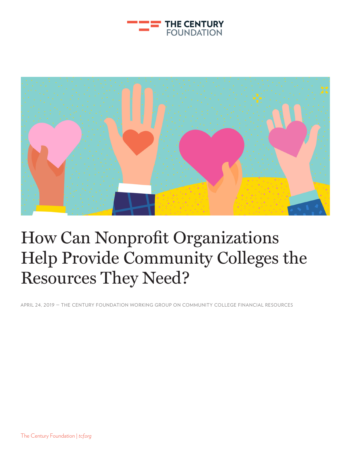



## How Can Nonprofit Organizations Help Provide Community Colleges the Resources They Need?

APRIL 24, 2019 — THE CENTURY FOUNDATION WORKING GROUP ON COMMUNITY COLLEGE FINANCIAL RESOURCES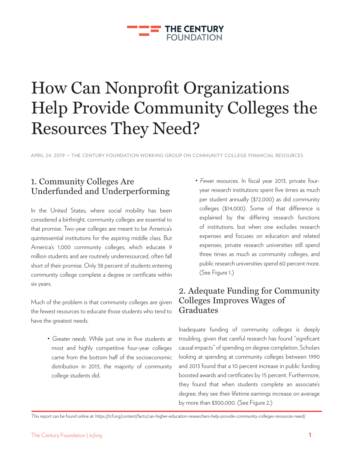### **THE CENTURY FOUNDATION**

# How Can Nonprofit Organizations Help Provide Community Colleges the Resources They Need?

APRIL 24, 2019 — THE CENTURY FOUNDATION WORKING GROUP ON COMMUNITY COLLEGE FINANCIAL RESOURCES

## 1. Community Colleges Are Underfunded and Underperforming

In the United States, where social mobility has been considered a birthright, community colleges are essential to that promise. Two-year colleges are meant to be America's quintessential institutions for the aspiring middle class. But America's 1,000 community colleges, which educate 9 million students and are routinely underresourced, often fall short of their promise. Only 38 percent of students entering community college complete a degree or certificate within six years.

Much of the problem is that community colleges are given the fewest resources to educate those students who tend to have the greatest needs.

> • *Greater needs.* While just one in five students at most and highly competitive four-year colleges came from the bottom half of the socioeconomic distribution in 2013, the majority of community college students did.

• *Fewer resources.* In fiscal year 2013, private fouryear research institutions spent five times as much per student annually (\$72,000) as did community colleges (\$14,000). Some of that difference is explained by the differing research functions of institutions, but when one excludes research expenses and focuses on education and related expenses, private research universities still spend three times as much as community colleges, and public research universities spend 60 percent more. (See Figure 1.)

## 2. Adequate Funding for Community Colleges Improves Wages of Graduates

Inadequate funding of community colleges is deeply troubling, given that careful research has found "significant causal impacts" of spending on degree completion. Scholars looking at spending at community colleges between 1990 and 2013 found that a 10 percent increase in public funding boosted awards and certificates by 15 percent. Furthermore, they found that when students complete an associate's degree, they see their lifetime earnings increase on average by more than \$300,000. (See Figure 2.)

This report can be found online at: https://tcf.org/content/facts/can-higher-education-researchers-help-provide-community-colleges-resources-need/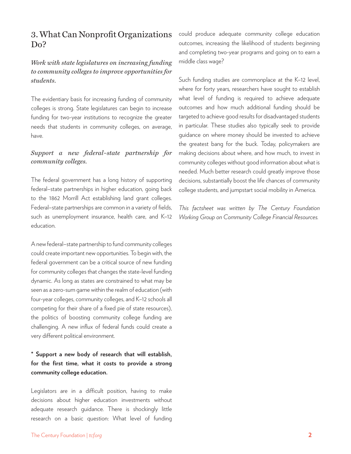## 3. What Can Nonprofit Organizations Do?

#### *Work with state legislatures on increasing funding to community colleges to improve opportunities for students.*

The evidentiary basis for increasing funding of community colleges is strong. State legislatures can begin to increase funding for two-year institutions to recognize the greater needs that students in community colleges, on average, have.

#### *Support a new federal–state partnership for community colleges.*

The federal government has a long history of supporting federal–state partnerships in higher education, going back to the 1862 Morrill Act establishing land grant colleges. Federal–state partnerships are common in a variety of fields, such as unemployment insurance, health care, and K–12 education.

A new federal–state partnership to fund community colleges could create important new opportunities. To begin with, the federal government can be a critical source of new funding for community colleges that changes the state-level funding dynamic. As long as states are constrained to what may be seen as a zero-sum game within the realm of education (with four-year colleges, community colleges, and K–12 schools all competing for their share of a fixed pie of state resources), the politics of boosting community college funding are challenging. A new influx of federal funds could create a very different political environment.

### **\* Support a new body of research that will establish, for the first time, what it costs to provide a strong community college education.**

Legislators are in a difficult position, having to make decisions about higher education investments without adequate research guidance. There is shockingly little research on a basic question: What level of funding could produce adequate community college education outcomes, increasing the likelihood of students beginning and completing two-year programs and going on to earn a middle class wage?

Such funding studies are commonplace at the K–12 level, where for forty years, researchers have sought to establish what level of funding is required to achieve adequate outcomes and how much additional funding should be targeted to achieve good results for disadvantaged students in particular. These studies also typically seek to provide guidance on where money should be invested to achieve the greatest bang for the buck. Today, policymakers are making decisions about where, and how much, to invest in community colleges without good information about what is needed. Much better research could greatly improve those decisions, substantially boost the life chances of community college students, and jumpstart social mobility in America.

*This factsheet was written by The Century Foundation Working Group on Community College Financial Resources.*